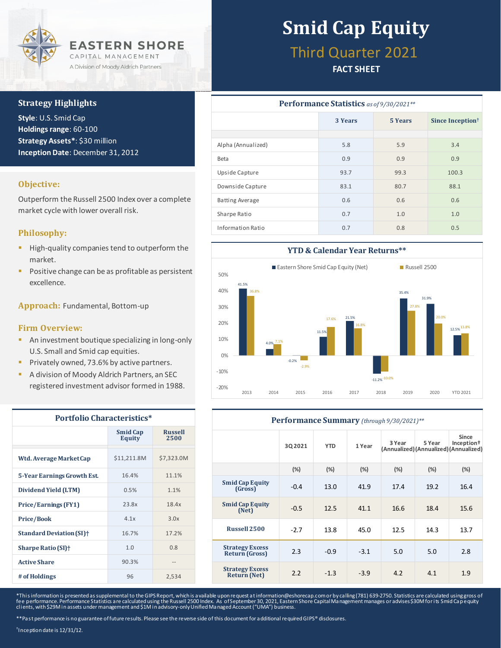

### **Strategy Highlights**

**Style**: U.S. Smid Cap **Holdings range**: 60-100 **Strategy Assets\***: \$30 million **Inception Date**: December 31, 2012

### **Objective:**

Outperform the Russell 2500 Index over a complete market cycle with lower overall risk.

### **Philosophy:**

- **E** High-quality companies tend to outperform the market.
- Positive change can be as profitable as persistent excellence.

**Approach:** Fundamental, Bottom-up

#### **Firm Overview:**

- **E** An investment boutique specializing in long-only U.S. Small and Smid cap equities.
- Privately owned, 73.6% by active partners.
- A division of Moody Aldrich Partners, an SEC registered investment advisor formed in 1988.

| <b>Portfolio Characteristics*</b>  |                           |                        |  |  |
|------------------------------------|---------------------------|------------------------|--|--|
|                                    | <b>Smid Cap</b><br>Equity | <b>Russell</b><br>2500 |  |  |
| Wtd. Average Market Cap            | \$11,211.8M               | \$7,323.0M             |  |  |
| <b>5-Year Earnings Growth Est.</b> | 16.4%                     | 11.1%                  |  |  |
| Dividend Yield (LTM)               | 0.5%                      | 1.1%                   |  |  |
| <b>Price/Earnings (FY1)</b>        | 23.8x                     | 18.4x                  |  |  |
| <b>Price/Book</b>                  | 4.1x                      | 3.0x                   |  |  |
| <b>Standard Deviation (SI)+</b>    | 16.7%                     | 17.2%                  |  |  |
| <b>Sharpe Ratio (SI)</b> †         | 1.0                       | 0.8                    |  |  |
| <b>Active Share</b>                | 90.3%                     |                        |  |  |
| # of Holdings                      | 96                        | 2,534                  |  |  |

# **Smid Cap Equity**

# Third Quarter 2021

### **FACT SHEET**

| Performance Statistics as of 9/30/2021** |                    |      |                              |  |  |
|------------------------------------------|--------------------|------|------------------------------|--|--|
|                                          | 3 Years<br>5 Years |      | Since Inception <sup>†</sup> |  |  |
|                                          |                    |      |                              |  |  |
| Alpha (Annualized)                       | 5.8                | 5.9  | 3.4                          |  |  |
| <b>Beta</b>                              | 0.9                | 0.9  | 0.9                          |  |  |
| Upside Capture                           | 93.7               | 99.3 | 100.3                        |  |  |
| Downside Capture                         | 83.1               | 80.7 | 88.1                         |  |  |
| <b>Batting Average</b>                   | 0.6                | 0.6  | 0.6                          |  |  |
| Sharpe Ratio                             | 0.7                | 1.0  | 1.0                          |  |  |
| Information Ratio                        | 0.7                | 0.8  | 0.5                          |  |  |



| Performance Summary (through 9/30/2021)**     |         |            |        |        |                                                |                                        |
|-----------------------------------------------|---------|------------|--------|--------|------------------------------------------------|----------------------------------------|
|                                               | 3Q 2021 | <b>YTD</b> | 1 Year | 3 Year | 5 Year<br>(Annualized)(Annualized)(Annualized) | <b>Since</b><br>Inception <sup>+</sup> |
|                                               | $(\%)$  | (%)        | $(\%)$ | $(\%)$ | $(\%)$                                         | $(\%)$                                 |
| <b>Smid Cap Equity</b><br>(Gross)             | $-0.4$  | 13.0       | 41.9   | 17.4   | 19.2                                           | 16.4                                   |
| <b>Smid Cap Equity</b><br>(N <sub>et</sub> )  | $-0.5$  | 12.5       | 41.1   | 16.6   | 18.4                                           | 15.6                                   |
| Russell 2500                                  | $-2.7$  | 13.8       | 45.0   | 12.5   | 14.3                                           | 13.7                                   |
| <b>Strategy Excess</b><br>Return (Gross)      | 2.3     | $-0.9$     | $-3.1$ | 5.0    | 5.0                                            | 2.8                                    |
| <b>Strategy Excess</b><br><b>Return (Net)</b> | 2.2     | $-1.3$     | $-3.9$ | 4.2    | 4.1                                            | 1.9                                    |

\*This information is presented as supplemental to the GIPS Report, which is a vailable upon request at information@eshorecap.com or by calling (781) 639-2750. Statistics are calculated using gross of<br>fee performance. Perfo

\*\*Past performance is no guarantee of future results. Please see the reverse side of this document for additional required GIPS® disdosures.

† Inception date is 12/31/12.